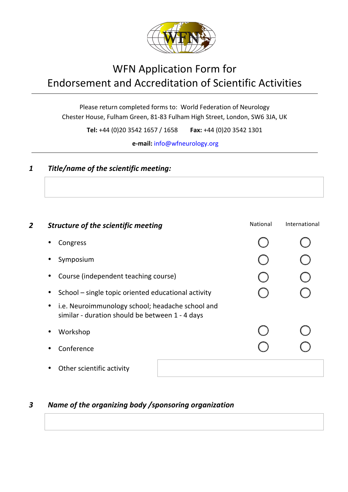

# WFN Application Form for Endorsement and Accreditation of Scientific Activities

Please return completed forms to: World Federation of Neurology Chester House, Fulham Green, 81-83 Fulham High Street, London, SW6 3JA, UK

**Tel:** +44 (0)20 3542 1657 / 1658 **Fax:** +44 (0)20 3542 1301

**e-mail:** info@wfneurology.org

#### **1 Title/name of the scientific meeting:**

| 2 | <b>Structure of the scientific meeting</b>                                                          | National | International |
|---|-----------------------------------------------------------------------------------------------------|----------|---------------|
|   | Congress                                                                                            |          |               |
|   | Symposium                                                                                           |          |               |
|   | Course (independent teaching course)                                                                |          |               |
|   | School – single topic oriented educational activity                                                 |          |               |
|   | i.e. Neuroimmunology school; headache school and<br>similar - duration should be between 1 - 4 days |          |               |
|   | Workshop                                                                                            |          |               |
|   | Conference                                                                                          |          |               |
|   | Other scientific activity                                                                           |          |               |

#### *3 Name of the organizing body /sponsoring organization*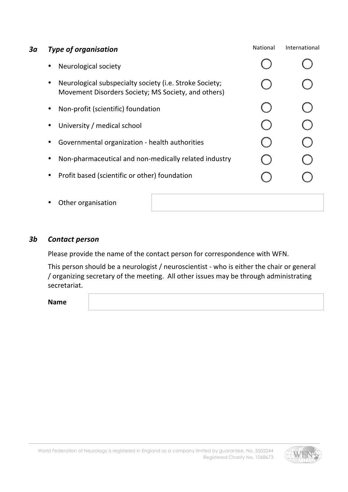| За | <b>Type of organisation</b>                                                                                    | National | International |
|----|----------------------------------------------------------------------------------------------------------------|----------|---------------|
|    | Neurological society                                                                                           |          |               |
|    | Neurological subspecialty society (i.e. Stroke Society;<br>Movement Disorders Society; MS Society, and others) |          |               |
|    | Non-profit (scientific) foundation                                                                             |          |               |
|    | University / medical school                                                                                    |          |               |
|    | Governmental organization - health authorities                                                                 |          |               |
|    | Non-pharmaceutical and non-medically related industry                                                          |          |               |
|    | Profit based (scientific or other) foundation<br>$\bullet$                                                     |          |               |
|    | Other organisation                                                                                             |          |               |

*3b Contact person*

Please provide the name of the contact person for correspondence with WFN.

This person should be a neurologist / neuroscientist - who is either the chair or general / organizing secretary of the meeting. All other issues may be through administrating secretariat.

**Name**

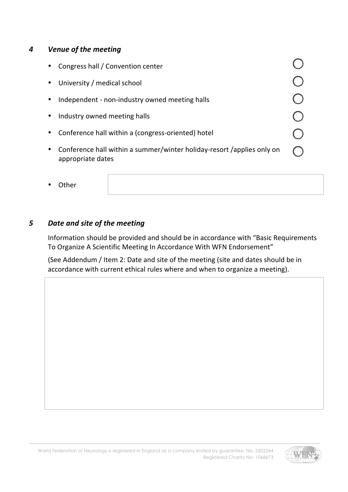#### *4 Venue of the meeting*

|   | Congress hall / Convention center                                                           |  |
|---|---------------------------------------------------------------------------------------------|--|
|   | University / medical school                                                                 |  |
|   | Independent - non-industry owned meeting halls                                              |  |
|   | Industry owned meeting halls                                                                |  |
|   | Conference hall within a (congress-oriented) hotel                                          |  |
| ٠ | Conference hall within a summer/winter holiday-resort /applies only on<br>appropriate dates |  |

**Other** 

### *5 Date and site of the meeting*

Information should be provided and should be in accordance with "Basic Requirements To Organize A Scientific Meeting In Accordance With WFN Endorsement"

(See Addendum / Item 2: Date and site of the meeting (site and dates should be in accordance with current ethical rules where and when to organize a meeting).

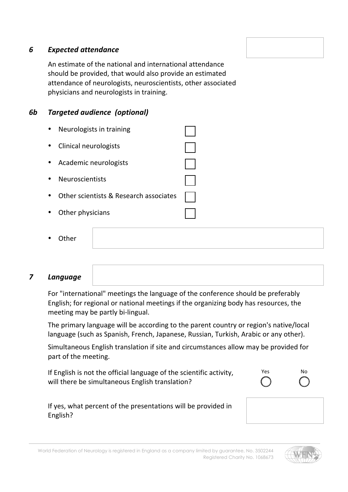#### *6 Expected attendance*

An estimate of the national and international attendance should be provided, that would also provide an estimated attendance of neurologists, neuroscientists, other associated physicians and neurologists in training.

#### **6b** Targeted audience (optional)

| Neurologists in training               |  |
|----------------------------------------|--|
| Clinical neurologists                  |  |
| Academic neurologists                  |  |
| Neuroscientists                        |  |
| Other scientists & Research associates |  |
| Other physicians                       |  |

| Other<br>$\bullet$ |  |  |  |
|--------------------|--|--|--|
|--------------------|--|--|--|

#### *7 Language*

For "international" meetings the language of the conference should be preferably English; for regional or national meetings if the organizing body has resources, the meeting may be partly bi-lingual.

The primary language will be according to the parent country or region's native/local language (such as Spanish, French, Japanese, Russian, Turkish, Arabic or any other).

Simultaneous English translation if site and circumstances allow may be provided for part of the meeting.

If English is not the official language of the scientific activity, will there be simultaneous English translation?



If yes, what percent of the presentations will be provided in English?



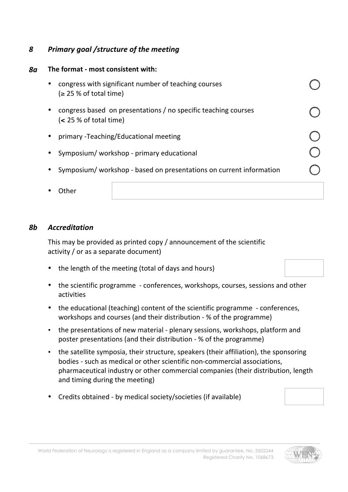#### *8 Primary goal /structure of the meeting*

#### **8a** The format - most consistent with:

| congress with significant number of teaching courses<br>$\geq$ 25 % of total time)           |  |
|----------------------------------------------------------------------------------------------|--|
| congress based on presentations / no specific teaching courses<br>$\leq$ 25 % of total time) |  |
| primary - Teaching/Educational meeting                                                       |  |
| Symposium/workshop - primary educational                                                     |  |
| Symposium/workshop - based on presentations on current information                           |  |
| Uther                                                                                        |  |

#### *8b Accreditation*

This may be provided as printed copy  $/$  announcement of the scientific activity / or as a separate document)

- the length of the meeting (total of days and hours)
- the scientific programme conferences, workshops, courses, sessions and other activities
- the educational (teaching) content of the scientific programme conferences, workshops and courses (and their distribution - % of the programme)
- the presentations of new material plenary sessions, workshops, platform and poster presentations (and their distribution - % of the programme)
- the satellite symposia, their structure, speakers (their affiliation), the sponsoring bodies - such as medical or other scientific non-commercial associations, pharmaceutical industry or other commercial companies (their distribution, length and timing during the meeting)
- Credits obtained by medical society/societies (if available)

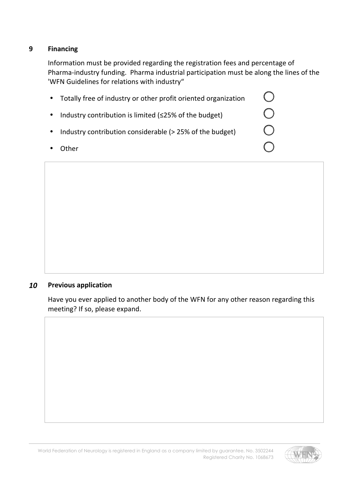#### **9 Financing**

Information must be provided regarding the registration fees and percentage of Pharma-industry funding. Pharma industrial participation must be along the lines of the 'WFN Guidelines for relations with industry"

| Totally free of industry or other profit oriented organization |                                               |
|----------------------------------------------------------------|-----------------------------------------------|
| Industry contribution is limited ( $\leq$ 25% of the budget)   |                                               |
| Industry contribution considerable (> 25% of the budget)       | $\left( \begin{array}{c} \end{array} \right)$ |
| .าther                                                         |                                               |

#### *10* **Previous application**

Have you ever applied to another body of the WFN for any other reason regarding this meeting? If so, please expand.

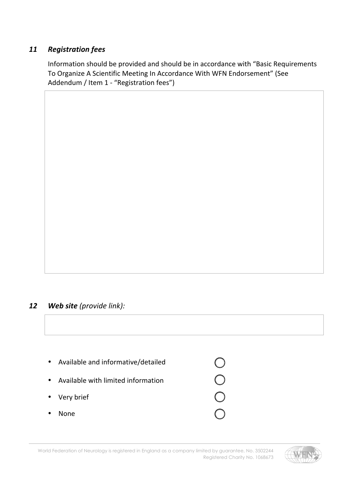#### *11 Registration fees*

Information should be provided and should be in accordance with "Basic Requirements To Organize A Scientific Meeting In Accordance With WFN Endorsement" (See Addendum / Item 1 - "Registration fees")

#### *12 Web site (provide link):*

| $\bullet$ | Available and informative/detailed |  |
|-----------|------------------------------------|--|
| $\bullet$ | Available with limited information |  |
|           | • Very brief                       |  |
|           | None                               |  |

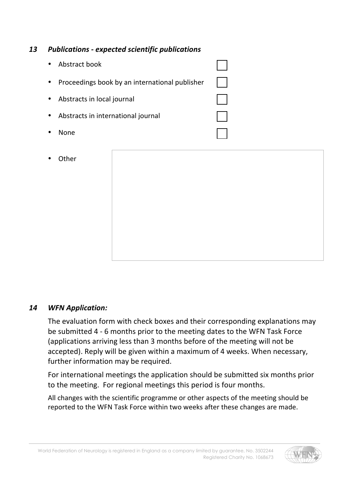#### *13 Publications - expected scientific publications*

| Abstract book                                  |  |
|------------------------------------------------|--|
| Proceedings book by an international publisher |  |
| Abstracts in local journal                     |  |
| Abstracts in international journal             |  |
| None                                           |  |

**Other** 



#### *14 WFN Application:*

The evaluation form with check boxes and their corresponding explanations may be submitted 4 - 6 months prior to the meeting dates to the WFN Task Force (applications arriving less than 3 months before of the meeting will not be accepted). Reply will be given within a maximum of 4 weeks. When necessary, further information may be required.

For international meetings the application should be submitted six months prior to the meeting. For regional meetings this period is four months.

All changes with the scientific programme or other aspects of the meeting should be reported to the WFN Task Force within two weeks after these changes are made.

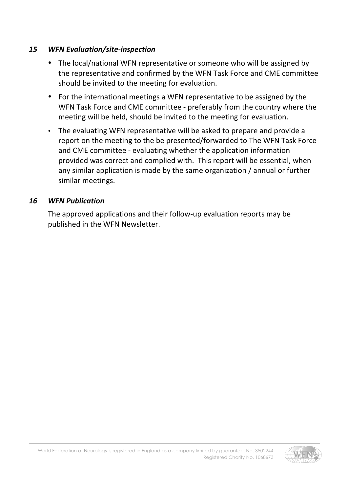#### *15 WFN Evaluation/site-inspection*

- The local/national WFN representative or someone who will be assigned by the representative and confirmed by the WFN Task Force and CME committee should be invited to the meeting for evaluation.
- For the international meetings a WFN representative to be assigned by the WFN Task Force and CME committee - preferably from the country where the meeting will be held, should be invited to the meeting for evaluation.
- The evaluating WFN representative will be asked to prepare and provide a report on the meeting to the be presented/forwarded to The WFN Task Force and CME committee - evaluating whether the application information provided was correct and complied with. This report will be essential, when any similar application is made by the same organization / annual or further similar meetings.

#### *16 WFN Publication*

The approved applications and their follow-up evaluation reports may be published in the WFN Newsletter.

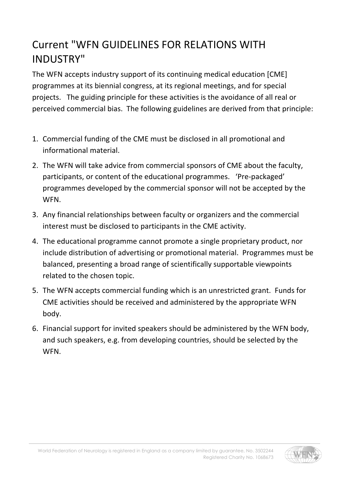# Current "WFN GUIDELINES FOR RELATIONS WITH INDUSTRY"

The WFN accepts industry support of its continuing medical education [CME] programmes at its biennial congress, at its regional meetings, and for special projects. The guiding principle for these activities is the avoidance of all real or perceived commercial bias. The following guidelines are derived from that principle:

- 1. Commercial funding of the CME must be disclosed in all promotional and informational material.
- 2. The WFN will take advice from commercial sponsors of CME about the faculty, participants, or content of the educational programmes. 'Pre-packaged' programmes developed by the commercial sponsor will not be accepted by the WFN.
- 3. Any financial relationships between faculty or organizers and the commercial interest must be disclosed to participants in the CME activity.
- 4. The educational programme cannot promote a single proprietary product, nor include distribution of advertising or promotional material. Programmes must be balanced, presenting a broad range of scientifically supportable viewpoints related to the chosen topic.
- 5. The WFN accepts commercial funding which is an unrestricted grant. Funds for CME activities should be received and administered by the appropriate WFN body.
- 6. Financial support for invited speakers should be administered by the WFN body, and such speakers, e.g. from developing countries, should be selected by the WFN.

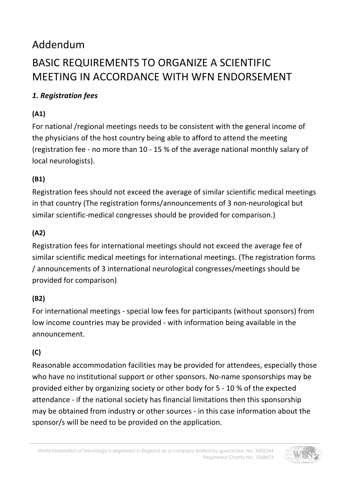# Addendum BASIC REQUIREMENTS TO ORGANIZE A SCIENTIFIC MEETING IN ACCORDANCE WITH WFN ENDORSEMENT

# *1. Registration fees*

# **(A1)**

For national /regional meetings needs to be consistent with the general income of the physicians of the host country being able to afford to attend the meeting (registration fee - no more than 10 - 15 % of the average national monthly salary of local neurologists).

# **(B1)**

Registration fees should not exceed the average of similar scientific medical meetings in that country (The registration forms/announcements of 3 non-neurological but similar scientific-medical congresses should be provided for comparison.)

# **(A2)**

Registration fees for international meetings should not exceed the average fee of similar scientific medical meetings for international meetings. (The registration forms / announcements of 3 international neurological congresses/meetings should be provided for comparison)

# **(B2)**

For international meetings - special low fees for participants (without sponsors) from low income countries may be provided - with information being available in the announcement.

# **(C)**

Reasonable accommodation facilities may be provided for attendees, especially those who have no institutional support or other sponsors. No-name sponsorships may be provided either by organizing society or other body for 5 - 10 % of the expected attendance - if the national society has financial limitations then this sponsorship may be obtained from industry or other sources - in this case information about the sponsor/s will be need to be provided on the application.